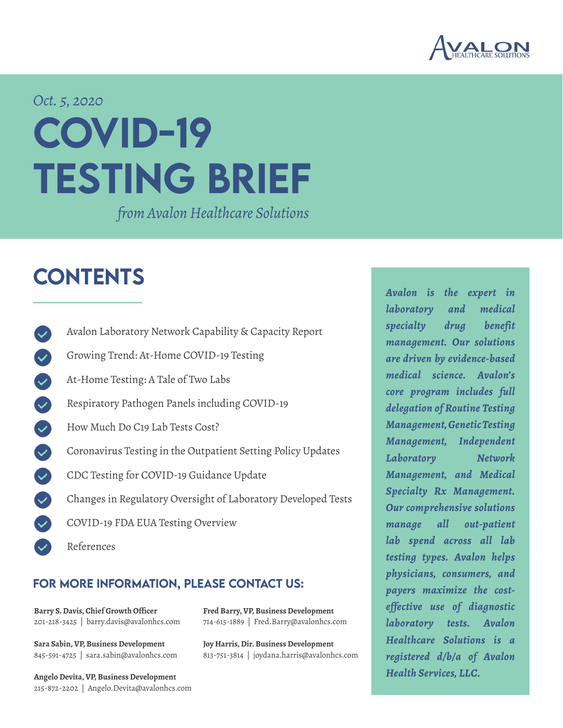

# COVID-19 TESTING BRIEF *Oct. 5, 2020*

*from Avalon Healthcare Solutions*

# **CONTENTS**

[Avalon Laboratory Network Capability & Capacity Report](#page-1-0) [Growing Trend: At-Home COVID-19 Testing](#page-2-0) [At-Home Testing: A Tale of Two Labs](#page-2-1) [Respiratory Pathogen Panels including COVID-19](#page-3-0) [How Much Do C19 Lab Tests Cost?](#page-3-1) [Coronavirus Testing in the Outpatient Setting Policy Updates](#page-4-0)  $\blacktriangledown$ [CDC Testing for COVID-19 Guidance Update](#page-5-0) [Changes in Regulatory Oversight of Laboratory Developed Tests](#page-5-1) [COVID-19 FDA EUA Testing Overview](#page-7-0) [References](#page-8-0)

#### FOR MORE INFORMATION, PLEASE CONTACT US:

**[Barry S. Davis, Chief Growth Officer](mailto:barry.davis%40avalonhcs.com%20?subject=)** 201-218-3425 | barry.davis@avalonhcs.com

**[Sara Sabin, VP, Business Development](mailto:sara.sabin%40avalonhcs.com?subject=)** 845-591-4725 | sara.sabin@avalonhcs.com

**[Angelo Devita, VP, Business Development](mailto:Angelo.Devita%40avalonhcs.com?subject=)** 215-872-2202 | Angelo.Devita@avalonhcs.com **[Fred Barry, VP, Business Development](mailto:Fred.Barry%40avalonhcs.com?subject=)** 714-615-1889 | Fred.Barry@avalonhcs.com

**[Joy Harris, Dir. Business Development](mailto:%20joydana.harris%40avalonhcs.com?subject=)** 813-751-3814 | joydana.harris@avalonhcs.com *Avalon is the expert in laboratory and medical specialty drug benefit management. Our solutions are driven by evidence-based medical science. Avalon's core program includes full delegation of Routine Testing Management, Genetic Testing Management, Independent Laboratory Network Management, and Medical Specialty Rx Management. Our comprehensive solutions manage all out-patient lab spend across all lab testing types. Avalon helps physicians, consumers, and payers maximize the costeffective use of diagnostic laboratory tests. Avalon Healthcare Solutions is a registered d/b/a of Avalon Health Services, LLC.*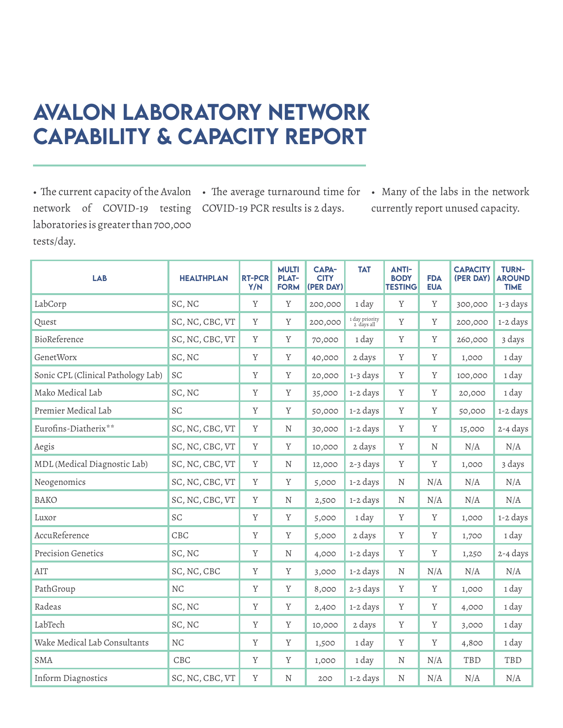### <span id="page-1-0"></span>Avalon Laboratory Network Capability & Capacity Report

network of COVID-19 testing COVID-19 PCR results is 2 days. laboratories is greater than 700,000 tests/day.

• The current capacity of the Avalon • The average turnaround time for

• Many of the labs in the network currently report unused capacity.

| <b>LAB</b>                         | <b>HEALTHPLAN</b> | <b>RT-PCR</b><br>Y/N | <b>MULTI</b><br><b>PLAT-</b><br><b>FORM</b> | <b>CAPA-</b><br><b>CITY</b><br>(PER DAY) | <b>TAT</b>                   | <b>ANTI-</b><br><b>BODY</b><br><b>TESTING</b> | <b>FDA</b><br><b>EUA</b> | <b>CAPACITY</b><br>(PER DAY) | <b>TURN-</b><br><b>AROUND</b><br><b>TIME</b> |
|------------------------------------|-------------------|----------------------|---------------------------------------------|------------------------------------------|------------------------------|-----------------------------------------------|--------------------------|------------------------------|----------------------------------------------|
| LabCorp                            | SC, NC            | Y                    | Y                                           | 200,000                                  | 1 day                        | Y                                             | Y                        | 300,000                      | 1-3 days                                     |
| Quest                              | SC, NC, CBC, VT   | Y                    | Y                                           | 200,000                                  | 1 day priority<br>2 days all | Y                                             | Y                        | 200,000                      | 1-2 days                                     |
| BioReference                       | SC, NC, CBC, VT   | Y                    | Y                                           | 70,000                                   | 1 day                        | Y                                             | Y                        | 260,000                      | 3 days                                       |
| <b>GenetWorx</b>                   | SC, NC            | Y                    | Y                                           | 40,000                                   | 2 days                       | Y                                             | Y                        | 1,000                        | 1 day                                        |
| Sonic CPL (Clinical Pathology Lab) | SC                | $\mathbf Y$          | $\mathbf Y$                                 | 20,000                                   | 1-3 days                     | $\mathbf Y$                                   | Y                        | 100,000                      | 1 day                                        |
| Mako Medical Lab                   | SC, NC            | Y                    | Y                                           | 35,000                                   | 1-2 days                     | Y                                             | Y                        | 20,000                       | 1 day                                        |
| Premier Medical Lab                | SC                | Y                    | Y                                           | 50,000                                   | 1-2 days                     | Y                                             | Y                        | 50,000                       | 1-2 days                                     |
| Eurofins-Diatherix**               | SC, NC, CBC, VT   | Y                    | N                                           | 30,000                                   | 1-2 days                     | Y                                             | Y                        | 15,000                       | $2 - 4 \text{ days}$                         |
| Aegis                              | SC, NC, CBC, VT   | Y                    | Y                                           | 10,000                                   | 2 days                       | $\mathbf Y$                                   | $\mathbf N$              | N/A                          | N/A                                          |
| MDL (Medical Diagnostic Lab)       | SC, NC, CBC, VT   | Y                    | N                                           | 12,000                                   | 2-3 days                     | Y                                             | Y                        | 1,000                        | 3 days                                       |
| Neogenomics                        | SC, NC, CBC, VT   | Y                    | Y                                           | 5,000                                    | 1-2 days                     | N                                             | N/A                      | N/A                          | N/A                                          |
| <b>BAKO</b>                        | SC, NC, CBC, VT   | $\mathbf Y$          | N                                           | 2,500                                    | 1-2 days                     | N                                             | N/A                      | N/A                          | N/A                                          |
| Luxor                              | SC                | Y                    | Y                                           | 5,000                                    | 1 day                        | Y                                             | Y                        | 1,000                        | 1-2 days                                     |
| AccuReference                      | CBC               | Y                    | Y                                           | 5,000                                    | 2 days                       | Y                                             | Y                        | 1,700                        | 1 day                                        |
| <b>Precision Genetics</b>          | SC, NC            | Y                    | N                                           | 4,000                                    | 1-2 days                     | Y                                             | Y                        | 1,250                        | 2-4 days                                     |
| AIT                                | SC, NC, CBC       | Y                    | $\mathbf Y$                                 | 3,000                                    | 1-2 days                     | $\mathbf N$                                   | N/A                      | N/A                          | N/A                                          |
| PathGroup                          | <b>NC</b>         | $\mathbf Y$          | Y                                           | 8,000                                    | 2-3 days                     | Y                                             | $\mathbf Y$              | 1,000                        | 1 day                                        |
| Radeas                             | SC, NC            | Y                    | Y                                           | 2,400                                    | 1-2 days                     | Y                                             | Y                        | 4,000                        | 1 day                                        |
| LabTech                            | SC, NC            | Y                    | Y                                           | 10,000                                   | 2 days                       | Y                                             | Y                        | 3,000                        | 1 day                                        |
| Wake Medical Lab Consultants       | NC                | Y                    | Y                                           | 1,500                                    | 1 day                        | Y                                             | Y                        | 4,800                        | 1 day                                        |
| <b>SMA</b>                         | CBC               | Y                    | Y                                           | 1,000                                    | 1 day                        | N                                             | N/A                      | TBD                          | TBD                                          |
| Inform Diagnostics                 | SC, NC, CBC, VT   | Y                    | N                                           | 200                                      | 1-2 days                     | N                                             | N/A                      | N/A                          | N/A                                          |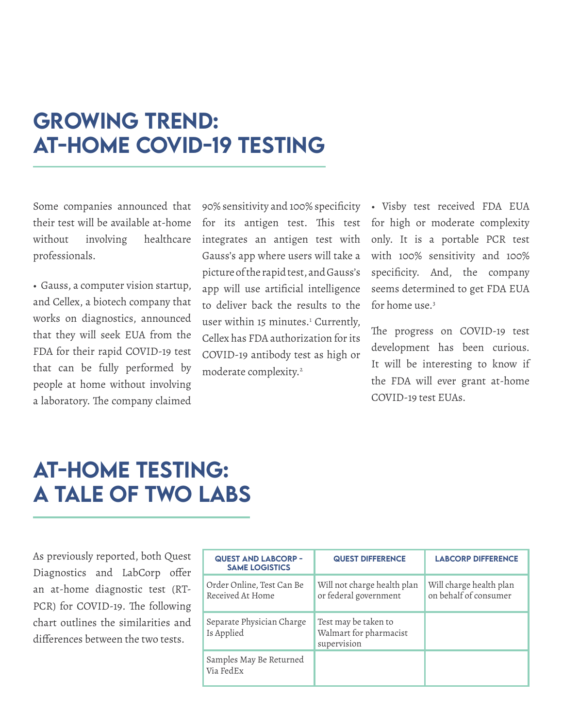#### <span id="page-2-0"></span>Growing Trend: At-Home COVID-19 Testing

Some companies announced that their test will be available at-home without involving healthcare professionals.

• Gauss, a computer vision startup, and Cellex, a biotech company that works on diagnostics, announced that they will seek EUA from the FDA for their rapid COVID-19 test that can be fully performed by people at home without involving a laboratory. The company claimed

90% sensitivity and 100% specificity for its antigen test. This test integrates an antigen test with Gauss's app where users will take a picture of the rapid test, and Gauss's app will use artificial intelligence to deliver back the results to the user within 15 minutes.<sup>1</sup> Currently, Cellex has FDA authorization for its COVID-19 antibody test as high or moderate complexity.2

• Visby test received FDA EUA for high or moderate complexity only. It is a portable PCR test with 100% sensitivity and 100% specificity. And, the company seems determined to get FDA EUA for home use.<sup>3</sup>

The progress on COVID-19 test development has been curious. It will be interesting to know if the FDA will ever grant at-home COVID-19 test EUAs.

#### <span id="page-2-1"></span>At-Home Testing: A TALE OF TWO LABS

As previously reported, both Quest Diagnostics and LabCorp offer an at-home diagnostic test (RT-PCR) for COVID-19. The following chart outlines the similarities and differences between the two tests.

| <b>QUEST AND LABCORP -</b><br><b>SAME LOGISTICS</b> | <b>QUEST DIFFERENCE</b>                                       | <b>LABCORP DIFFERENCE</b>                        |
|-----------------------------------------------------|---------------------------------------------------------------|--------------------------------------------------|
| Order Online, Test Can Be<br>Received At Home       | Will not charge health plan<br>or federal government          | Will charge health plan<br>on behalf of consumer |
| Separate Physician Charge<br>Is Applied             | Test may be taken to<br>Walmart for pharmacist<br>supervision |                                                  |
| Samples May Be Returned<br>Via FedEx                |                                                               |                                                  |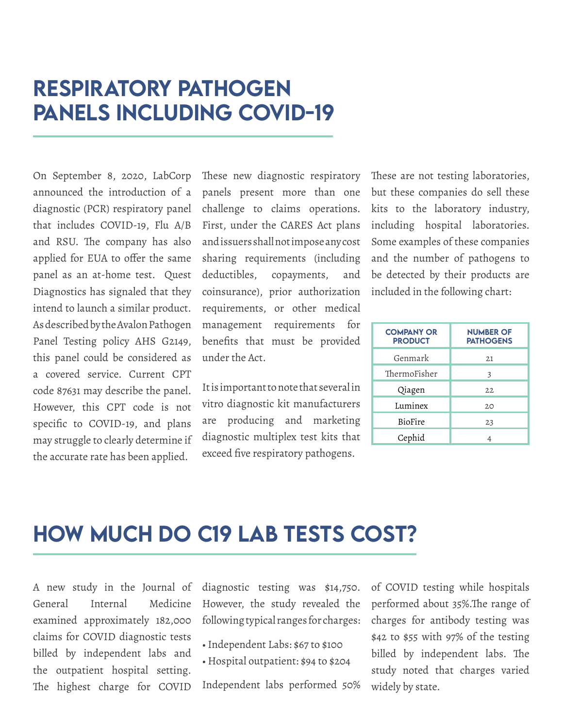#### <span id="page-3-0"></span>Respiratory Pathogen Panels including COVID-19

On September 8, 2020, LabCorp announced the introduction of a diagnostic (PCR) respiratory panel that includes COVID-19, Flu A/B and RSU. The company has also applied for EUA to offer the same panel as an at-home test. Quest Diagnostics has signaled that they intend to launch a similar product. As described by the Avalon Pathogen Panel Testing policy AHS G2149, this panel could be considered as a covered service. Current CPT code 87631 may describe the panel. However, this CPT code is not specific to COVID-19, and plans may struggle to clearly determine if the accurate rate has been applied.

These new diagnostic respiratory panels present more than one challenge to claims operations. First, under the CARES Act plans and issuers shall not impose any cost sharing requirements (including deductibles, copayments, and coinsurance), prior authorization requirements, or other medical management requirements for benefits that must be provided under the Act.

It is important to note that several in vitro diagnostic kit manufacturers are producing and marketing diagnostic multiplex test kits that exceed five respiratory pathogens.

These are not testing laboratories, but these companies do sell these kits to the laboratory industry, including hospital laboratories. Some examples of these companies and the number of pathogens to be detected by their products are included in the following chart:

| <b>COMPANY OR</b><br><b>PRODUCT</b> | <b>NUMBER OF</b><br><b>PATHOGENS</b> |
|-------------------------------------|--------------------------------------|
| Genmark                             | 21                                   |
| ThermoFisher                        | 3                                    |
| Qiagen                              | 22                                   |
| Luminex                             | 20                                   |
| BioFire                             | 23                                   |
| Cephid                              |                                      |

#### <span id="page-3-1"></span>How Much Do C19 Lab Tests Cost?

A new study in the Journal of General Internal Medicine examined approximately 182,000 claims for COVID diagnostic tests billed by independent labs and the outpatient hospital setting. The highest charge for COVID

diagnostic testing was \$14,750. However, the study revealed the following typical ranges for charges:

- Independent Labs: \$67 to \$100
- Hospital outpatient: \$94 to \$204

Independent labs performed 50%

of COVID testing while hospitals performed about 35%.The range of charges for antibody testing was \$42 to \$55 with 97% of the testing billed by independent labs. The study noted that charges varied widely by state.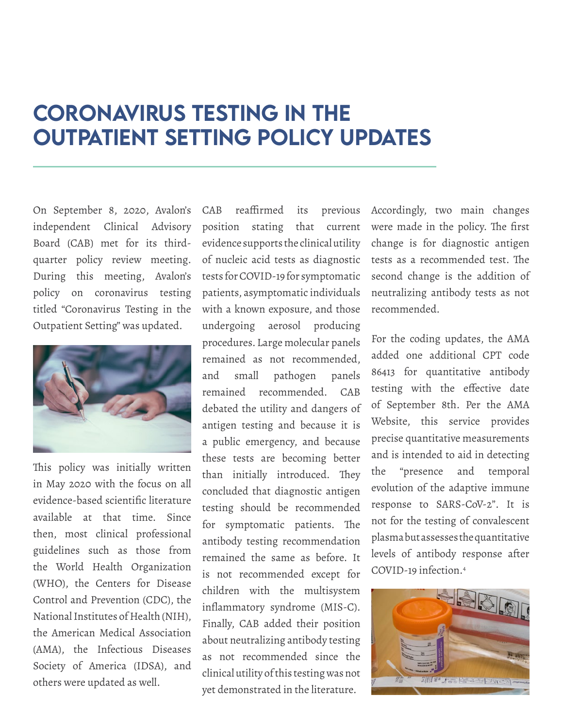#### <span id="page-4-0"></span>coronavirus Testing in the outpatient setting policy updates

On September 8, 2020, Avalon's independent Clinical Advisory Board (CAB) met for its thirdquarter policy review meeting. During this meeting, Avalon's policy on coronavirus testing titled "Coronavirus Testing in the Outpatient Setting" was updated.



This policy was initially written in May 2020 with the focus on all evidence-based scientific literature available at that time. Since then, most clinical professional guidelines such as those from the World Health Organization (WHO), the Centers for Disease Control and Prevention (CDC), the National Institutes of Health (NIH), the American Medical Association (AMA), the Infectious Diseases Society of America (IDSA), and others were updated as well.

CAB reaffirmed its previous position stating that current evidence supports the clinical utility of nucleic acid tests as diagnostic tests for COVID-19 for symptomatic patients, asymptomatic individuals with a known exposure, and those undergoing aerosol producing procedures. Large molecular panels remained as not recommended, and small pathogen panels remained recommended. CAB debated the utility and dangers of antigen testing and because it is a public emergency, and because these tests are becoming better than initially introduced. They concluded that diagnostic antigen testing should be recommended for symptomatic patients. The antibody testing recommendation remained the same as before. It is not recommended except for children with the multisystem inflammatory syndrome (MIS-C). Finally, CAB added their position about neutralizing antibody testing as not recommended since the clinical utility of this testing was not yet demonstrated in the literature.

Accordingly, two main changes were made in the policy. The first change is for diagnostic antigen tests as a recommended test. The second change is the addition of neutralizing antibody tests as not recommended.

For the coding updates, the AMA added one additional CPT code 86413 for quantitative antibody testing with the effective date of September 8th. Per the AMA Website, this service provides precise quantitative measurements and is intended to aid in detecting the "presence and temporal evolution of the adaptive immune response to SARS-CoV-2". It is not for the testing of convalescent plasma but assesses the quantitative levels of antibody response after COVID-19 infection.4

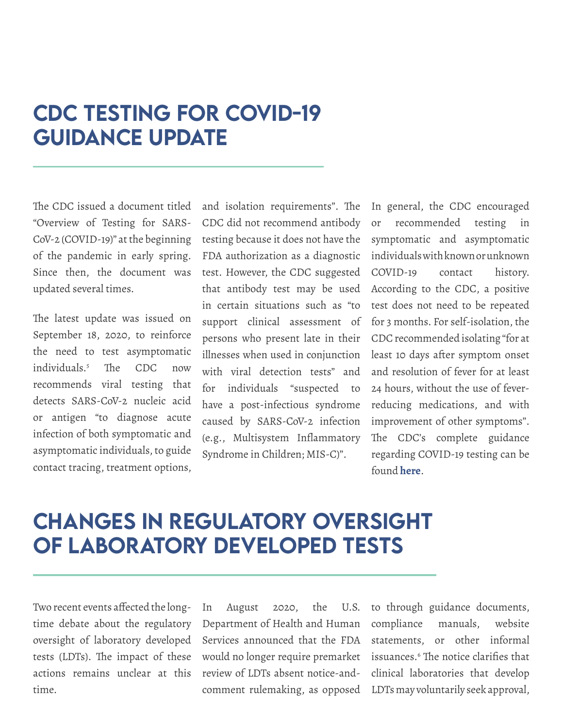#### <span id="page-5-0"></span>CDC Testing for COVID-19 **GUIDANCE UPDATE**

The CDC issued a document titled "Overview of Testing for SARS-CoV-2 (COVID-19)" at the beginning of the pandemic in early spring. Since then, the document was updated several times.

The latest update was issued on September 18, 2020, to reinforce the need to test asymptomatic individuals.5 The CDC now recommends viral testing that detects SARS-CoV-2 nucleic acid or antigen "to diagnose acute infection of both symptomatic and asymptomatic individuals, to guide contact tracing, treatment options,

and isolation requirements". The CDC did not recommend antibody testing because it does not have the FDA authorization as a diagnostic test. However, the CDC suggested that antibody test may be used in certain situations such as "to support clinical assessment of persons who present late in their illnesses when used in conjunction with viral detection tests" and for individuals "suspected to have a post-infectious syndrome caused by SARS-CoV-2 infection (e.g., Multisystem Inflammatory Syndrome in Children; MIS-C)".

In general, the CDC encouraged or recommended testing in symptomatic and asymptomatic individuals with known or unknown COVID-19 contact history. According to the CDC, a positive test does not need to be repeated for 3 months. For self-isolation, the CDC recommended isolating "for at least 10 days after symptom onset and resolution of fever for at least 24 hours, without the use of feverreducing medications, and with improvement of other symptoms". The CDC's complete guidance regarding COVID-19 testing can be found **[here](https://www.cdc.gov/coronavirus/2019-ncov/hcp/testing-overview.html)**.

#### <span id="page-5-1"></span>Changes in Regulatory Oversight of Laboratory Developed Tests

Two recent events affected the longtime debate about the regulatory oversight of laboratory developed tests (LDTs). The impact of these actions remains unclear at this time.

In August 2020, the U.S. Department of Health and Human Services announced that the FDA would no longer require premarket review of LDTs absent notice-andcomment rulemaking, as opposed

to through guidance documents, compliance manuals, website statements, or other informal issuances.6 The notice clarifies that clinical laboratories that develop LDTs may voluntarily seek approval,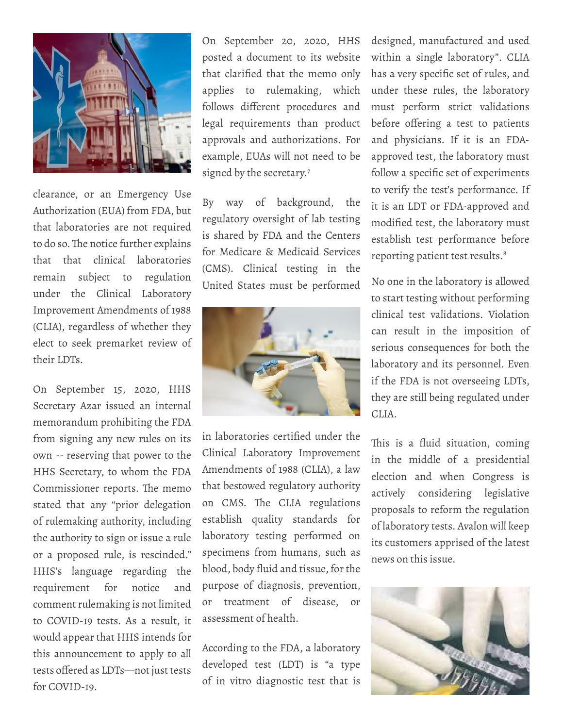

clearance, or an Emergency Use Authorization (EUA) from FDA, but that laboratories are not required to do so. The notice further explains that that clinical laboratories remain subject to regulation under the Clinical Laboratory Improvement Amendments of 1988 (CLIA), regardless of whether they elect to seek premarket review of their LDTs.

On September 15, 2020, HHS Secretary Azar issued an internal memorandum prohibiting the FDA from signing any new rules on its own -- reserving that power to the HHS Secretary, to whom the FDA Commissioner reports. The memo stated that any "prior delegation of rulemaking authority, including the authority to sign or issue a rule or a proposed rule, is rescinded." HHS's language regarding the requirement for notice and comment rulemaking is not limited to COVID-19 tests. As a result, it would appear that HHS intends for this announcement to apply to all tests offered as LDTs—not just tests for COVID-19.

On September 20, 2020, HHS posted a document to its website that clarified that the memo only applies to rulemaking, which follows different procedures and legal requirements than product approvals and authorizations. For example, EUAs will not need to be signed by the secretary.<sup>7</sup>

By way of background, the regulatory oversight of lab testing is shared by FDA and the Centers for Medicare & Medicaid Services (CMS). Clinical testing in the United States must be performed



in laboratories certified under the Clinical Laboratory Improvement Amendments of 1988 (CLIA), a law that bestowed regulatory authority on CMS. The CLIA regulations establish quality standards for laboratory testing performed on specimens from humans, such as blood, body fluid and tissue, for the purpose of diagnosis, prevention, or treatment of disease, or assessment of health.

According to the FDA, a laboratory developed test (LDT) is "a type of in vitro diagnostic test that is

designed, manufactured and used within a single laboratory". CLIA has a very specific set of rules, and under these rules, the laboratory must perform strict validations before offering a test to patients and physicians. If it is an FDAapproved test, the laboratory must follow a specific set of experiments to verify the test's performance. If it is an LDT or FDA-approved and modified test, the laboratory must establish test performance before reporting patient test results.<sup>8</sup>

No one in the laboratory is allowed to start testing without performing clinical test validations. Violation can result in the imposition of serious consequences for both the laboratory and its personnel. Even if the FDA is not overseeing LDTs, they are still being regulated under CLIA.

This is a fluid situation, coming in the middle of a presidential election and when Congress is actively considering legislative proposals to reform the regulation of laboratory tests. Avalon will keep its customers apprised of the latest news on this issue.

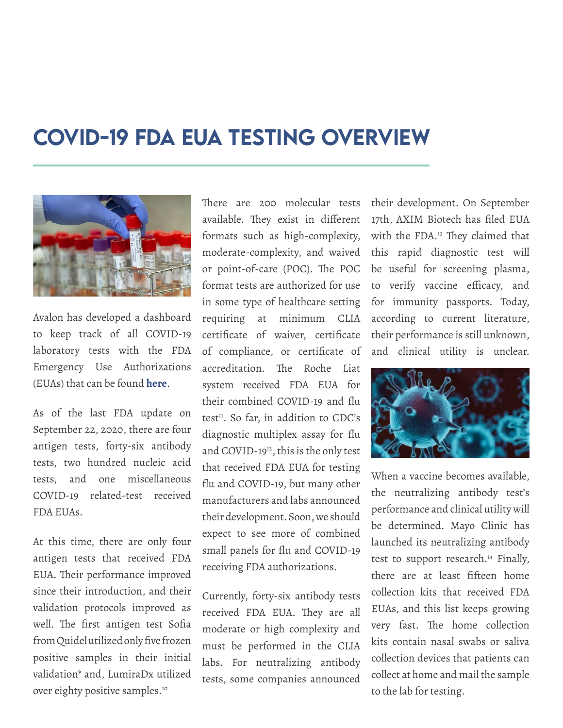#### <span id="page-7-0"></span>COVID-19 FDA EUA Testing Overview



Avalon has developed a dashboard to keep track of all COVID-19 laboratory tests with the FDA Emergency Use Authorizations (EUAs) that can be found **[here](https://www.avalonhcs.com/COVID-19/eua.html)**.

As of the last FDA update on September 22, 2020, there are four antigen tests, forty-six antibody tests, two hundred nucleic acid tests, and one miscellaneous COVID-19 related-test received FDA EUAs.

At this time, there are only four antigen tests that received FDA EUA. Their performance improved since their introduction, and their validation protocols improved as well. The first antigen test Sofia from Quidel utilized only five frozen positive samples in their initial validation9 and, LumiraDx utilized over eighty positive samples.10

There are 200 molecular tests available. They exist in different formats such as high-complexity, moderate-complexity, and waived or point-of-care (POC). The POC format tests are authorized for use in some type of healthcare setting requiring at minimum CLIA certificate of waiver, certificate of compliance, or certificate of accreditation. The Roche Liat system received FDA EUA for their combined COVID-19 and flu test<sup>11</sup>. So far, in addition to CDC's diagnostic multiplex assay for flu and COVID-1912, this is the only test that received FDA EUA for testing flu and COVID-19, but many other manufacturers and labs announced their development. Soon, we should expect to see more of combined small panels for flu and COVID-19 receiving FDA authorizations.

Currently, forty-six antibody tests received FDA EUA. They are all moderate or high complexity and must be performed in the CLIA labs. For neutralizing antibody tests, some companies announced their development. On September 17th, AXIM Biotech has filed EUA with the FDA.<sup>13</sup> They claimed that this rapid diagnostic test will be useful for screening plasma, to verify vaccine efficacy, and for immunity passports. Today, according to current literature, their performance is still unknown, and clinical utility is unclear.



When a vaccine becomes available, the neutralizing antibody test's performance and clinical utility will be determined. Mayo Clinic has launched its neutralizing antibody test to support research.<sup>14</sup> Finally, there are at least fifteen home collection kits that received FDA EUAs, and this list keeps growing very fast. The home collection kits contain nasal swabs or saliva collection devices that patients can collect at home and mail the sample to the lab for testing.